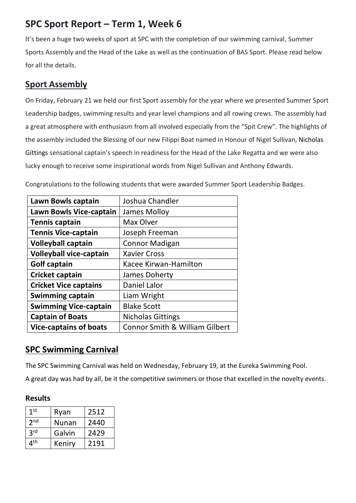# **SPC Sport Report – Term 1, Week 6**

It's been a huge two weeks of sport at SPC with the completion of our swimming carnival, Summer Sports Assembly and the Head of the Lake as well as the continuation of BAS Sport. Please read below for all the details.

# **Sport Assembly**

On Friday, February 21 we held our first Sport assembly for the year where we presented Summer Sport Leadership badges, swimming results and year level champions and all rowing crews. The assembly had a great atmosphere with enthusiasm from all involved especially from the "Spit Crew". The highlights of the assembly included the Blessing of our new Filippi Boat named in Honour of Nigel Sullivan, Nicholas Gittings sensational captain's speech in readiness for the Head of the Lake Regatta and we were also lucky enough to receive some inspirational words from Nigel Sullivan and Anthony Edwards.

Congratulations to the following students that were awarded Summer Sport Leadership Badges.

| Lawn Bowls captain             | Joshua Chandler                           |
|--------------------------------|-------------------------------------------|
| <b>Lawn Bowls Vice-captain</b> | James Molloy                              |
| <b>Tennis captain</b>          | Max Olver                                 |
| <b>Tennis Vice-captain</b>     | Joseph Freeman                            |
| <b>Volleyball captain</b>      | <b>Connor Madigan</b>                     |
| <b>Volleyball vice-captain</b> | <b>Xavier Cross</b>                       |
| <b>Golf captain</b>            | Kacee Kirwan-Hamilton                     |
| Cricket captain                | James Doherty                             |
| <b>Cricket Vice captains</b>   | Daniel Lalor                              |
| <b>Swimming captain</b>        | Liam Wright                               |
| <b>Swimming Vice-captain</b>   | <b>Blake Scott</b>                        |
| <b>Captain of Boats</b>        | <b>Nicholas Gittings</b>                  |
| <b>Vice-captains of boats</b>  | <b>Connor Smith &amp; William Gilbert</b> |

# **SPC Swimming Carnival**

The SPC Swimming Carnival was held on Wednesday, February 19, at the Eureka Swimming Pool.

A great day was had by all, be it the competitive swimmers or those that excelled in the novelty events.

### **Results**

| 1 <sup>st</sup> | Ryan         | 2512 |
|-----------------|--------------|------|
| 2 <sub>nd</sub> | <b>Nunan</b> | 2440 |
| 2rd             | Galvin       | 2429 |
| 4 <sup>th</sup> | Keniry       | 2191 |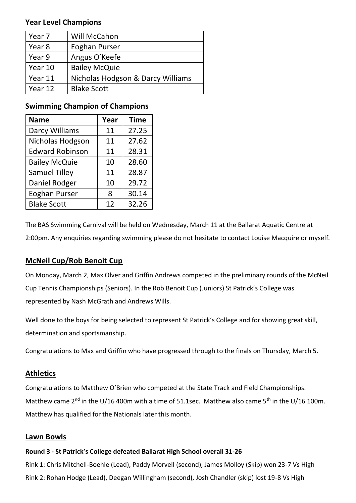#### **Year Level Champions**

| Year 7  | Will McCahon                      |
|---------|-----------------------------------|
| Year 8  | Eoghan Purser                     |
| Year 9  | Angus O'Keefe                     |
| Year 10 | <b>Bailey McQuie</b>              |
| Year 11 | Nicholas Hodgson & Darcy Williams |
| Year 12 | <b>Blake Scott</b>                |

### **Swimming Champion of Champions**

| <b>Name</b>            | Year | <b>Time</b> |
|------------------------|------|-------------|
| Darcy Williams         | 11   | 27.25       |
| Nicholas Hodgson       | 11   | 27.62       |
| <b>Edward Robinson</b> | 11   | 28.31       |
| <b>Bailey McQuie</b>   | 10   | 28.60       |
| <b>Samuel Tilley</b>   | 11   | 28.87       |
| Daniel Rodger          | 10   | 29.72       |
| <b>Eoghan Purser</b>   | 8    | 30.14       |
| <b>Blake Scott</b>     | 12   | 32.26       |

The BAS Swimming Carnival will be held on Wednesday, March 11 at the Ballarat Aquatic Centre at 2:00pm. Any enquiries regarding swimming please do not hesitate to contact Louise Macquire or myself.

## **McNeil Cup/Rob Benoit Cup**

On Monday, March 2, Max Olver and Griffin Andrews competed in the preliminary rounds of the McNeil Cup Tennis Championships (Seniors). In the Rob Benoit Cup (Juniors) St Patrick's College was represented by Nash McGrath and Andrews Wills.

Well done to the boys for being selected to represent St Patrick's College and for showing great skill, determination and sportsmanship.

Congratulations to Max and Griffin who have progressed through to the finals on Thursday, March 5.

### **Athletics**

Congratulations to Matthew O'Brien who competed at the State Track and Field Championships. Matthew came 2<sup>nd</sup> in the U/16 400m with a time of 51.1sec. Matthew also came 5<sup>th</sup> in the U/16 100m. Matthew has qualified for the Nationals later this month.

### **Lawn Bowls**

#### **Round 3 - St Patrick's College defeated Ballarat High School overall 31-26**

Rink 1: Chris Mitchell-Boehle (Lead), Paddy Morvell (second), James Molloy (Skip) won 23-7 Vs High Rink 2: Rohan Hodge (Lead), Deegan Willingham (second), Josh Chandler (skip) lost 19-8 Vs High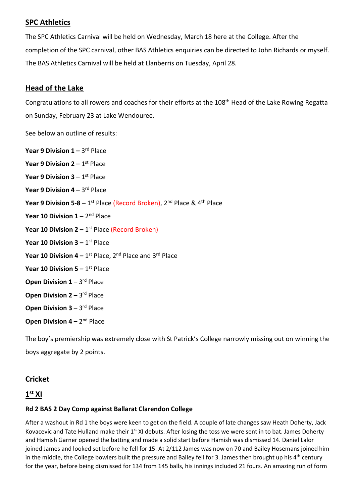### **SPC Athletics**

The SPC Athletics Carnival will be held on Wednesday, March 18 here at the College. After the completion of the SPC carnival, other BAS Athletics enquiries can be directed to John Richards or myself. The BAS Athletics Carnival will be held at Llanberris on Tuesday, April 28.

#### **Head of the Lake**

Congratulations to all rowers and coaches for their efforts at the 108th Head of the Lake Rowing Regatta on Sunday, February 23 at Lake Wendouree.

See below an outline of results:

| Year 9 Division $1 - 3$ <sup>rd</sup> Place                                                   |
|-----------------------------------------------------------------------------------------------|
| <b>Year 9 Division 2 – 1st Place</b>                                                          |
| <b>Year 9 Division 3 – 1st Place</b>                                                          |
| Year 9 Division $4 - 3$ <sup>rd</sup> Place                                                   |
| Year 9 Division 5-8 - $1^{st}$ Place (Record Broken), $2^{nd}$ Place & $4^{th}$ Place         |
| Year 10 Division $1 - 2nd$ Place                                                              |
| <b>Year 10 Division 2</b> – $1^{st}$ Place (Record Broken)                                    |
| <b>Year 10 Division 3 - 1st Place</b>                                                         |
| Year 10 Division $4 - 1$ <sup>st</sup> Place, 2 <sup>nd</sup> Place and 3 <sup>rd</sup> Place |
| <b>Year 10 Division 5 - 1st Place</b>                                                         |
| <b>Open Division <math>1 - 3</math>dd Place</b>                                               |
| <b>Open Division 2 – 3rd Place</b>                                                            |
| <b>Open Division <math>3 - 3</math>dd Place</b>                                               |
| <b>Open Division 4 - 2nd Place</b>                                                            |

The boy's premiership was extremely close with St Patrick's College narrowly missing out on winning the boys aggregate by 2 points.

### **Cricket**

#### **1 st XI**

#### **Rd 2 BAS 2 Day Comp against Ballarat Clarendon College**

After a washout in Rd 1 the boys were keen to get on the field. A couple of late changes saw Heath Doherty, Jack Kovacevic and Tate Hulland make their  $1^{st}$  XI debuts. After losing the toss we were sent in to bat. James Doherty and Hamish Garner opened the batting and made a solid start before Hamish was dismissed 14. Daniel Lalor joined James and looked set before he fell for 15. At 2/112 James was now on 70 and Bailey Hosemans joined him in the middle, the College bowlers built the pressure and Bailey fell for 3. James then brought up his  $4^{th}$  century for the year, before being dismissed for 134 from 145 balls, his innings included 21 fours. An amazing run of form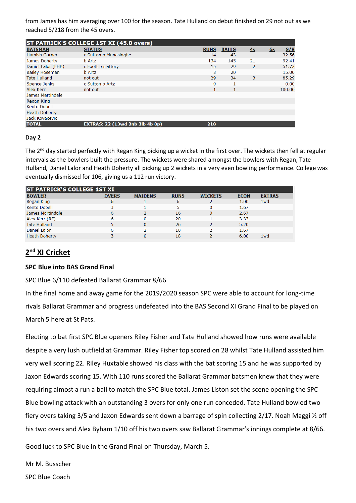from James has him averaging over 100 for the season. Tate Hulland on debut finished on 29 not out as we reached 5/218 from the 45 overs.

| ST PATRICK'S COLLEGE 1ST XI (45.0 overs) |                                        |             |              |                          |    |        |
|------------------------------------------|----------------------------------------|-------------|--------------|--------------------------|----|--------|
| <b>BATSMAN</b>                           | <b>STATUS</b>                          | <b>RUNS</b> | <b>BALLS</b> | 4s                       | 6s | S/R    |
| <b>Hamish Garner</b>                     | c Sutton b Munasinghe                  | 14          | 43           |                          |    | 32.56  |
| James Doherty                            | <b>b</b> Artz                          | 134         | 145          | 21                       |    | 92.41  |
| Daniel Lalor (LHB)                       | c Foott b slattery                     | 15          | 29           | $\overline{\phantom{a}}$ |    | 51.72  |
| <b>Bailey Hoseman</b>                    | <b>b</b> Artz                          | 3           | 20           |                          |    | 15.00  |
| <b>Tate Hulland</b>                      | not out                                | 29          | 34           | 3                        |    | 85.29  |
| Spence Jenks                             | c Sutton b Artz                        | $\Omega$    |              |                          |    | 0.00   |
| Alex Kerr                                | not out                                | 1           | 1            |                          |    | 100.00 |
| James Martindale                         |                                        |             |              |                          |    |        |
| Regan King                               |                                        |             |              |                          |    |        |
| <b>Kento Dobell</b>                      |                                        |             |              |                          |    |        |
| <b>Heath Doherty</b>                     |                                        |             |              |                          |    |        |
| Jack Kovacevic                           |                                        |             |              |                          |    |        |
| <b>TOTAL</b>                             | <b>EXTRAS: 22 (13wd 2nb 3lb 4b 0p)</b> | 218         |              |                          |    |        |

#### **Day 2**

The 2<sup>nd</sup> day started perfectly with Regan King picking up a wicket in the first over. The wickets then fell at regular intervals as the bowlers built the pressure. The wickets were shared amongst the bowlers with Regan, Tate Hulland, Daniel Lalor and Heath Doherty all picking up 2 wickets in a very even bowling performance. College was eventually dismissed for 106, giving us a 112 run victory.

| IST PATRICK'S COLLEGE 1ST XI |              |                |             |                |             |                 |
|------------------------------|--------------|----------------|-------------|----------------|-------------|-----------------|
| <b>BOWLER</b>                | <b>OVERS</b> | <b>MAIDENS</b> | <b>RUNS</b> | <b>WICKETS</b> | <b>ECON</b> | <b>EXTRAS</b>   |
| Regan King                   | 6            |                | 6           |                | 1.00        | 1wd             |
| Kento Dobell                 | 3            |                | 5           |                | 1.67        |                 |
| James Martindale             | 6            |                | 16          |                | 2.67        |                 |
| Alex Kerr (RF)               | 6            |                | 20          |                | 3.33        |                 |
| <b>Tate Hulland</b>          |              |                | 26          |                | 5.20        |                 |
| Daniel Lalor                 | 6            |                | 10          |                | 1.67        |                 |
| <b>Heath Doherty</b>         |              |                | 18          |                | 6.00        | 1 <sub>wd</sub> |

### **2 nd XI Cricket**

#### **SPC Blue into BAS Grand Final**

SPC Blue 6/110 defeated Ballarat Grammar 8/66

In the final home and away game for the 2019/2020 season SPC were able to account for long-time rivals Ballarat Grammar and progress undefeated into the BAS Second XI Grand Final to be played on March 5 here at St Pats.

Electing to bat first SPC Blue openers Riley Fisher and Tate Hulland showed how runs were available despite a very lush outfield at Grammar. Riley Fisher top scored on 28 whilst Tate Hulland assisted him very well scoring 22. Riley Huxtable showed his class with the bat scoring 15 and he was supported by Jaxon Edwards scoring 15. With 110 runs scored the Ballarat Grammar batsmen knew that they were requiring almost a run a ball to match the SPC Blue total. James Liston set the scene opening the SPC Blue bowling attack with an outstanding 3 overs for only one run conceded. Tate Hulland bowled two fiery overs taking 3/5 and Jaxon Edwards sent down a barrage of spin collecting 2/17. Noah Maggi ½ off his two overs and Alex Byham 1/10 off his two overs saw Ballarat Grammar's innings complete at 8/66.

Good luck to SPC Blue in the Grand Final on Thursday, March 5.

Mr M. Busscher

SPC Blue Coach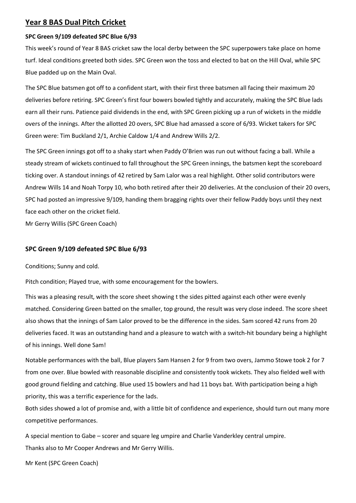#### **Year 8 BAS Dual Pitch Cricket**

#### **SPC Green 9/109 defeated SPC Blue 6/93**

This week's round of Year 8 BAS cricket saw the local derby between the SPC superpowers take place on home turf. Ideal conditions greeted both sides. SPC Green won the toss and elected to bat on the Hill Oval, while SPC Blue padded up on the Main Oval.

The SPC Blue batsmen got off to a confident start, with their first three batsmen all facing their maximum 20 deliveries before retiring. SPC Green's first four bowers bowled tightly and accurately, making the SPC Blue lads earn all their runs. Patience paid dividends in the end, with SPC Green picking up a run of wickets in the middle overs of the innings. After the allotted 20 overs, SPC Blue had amassed a score of 6/93. Wicket takers for SPC Green were: Tim Buckland 2/1, Archie Caldow 1/4 and Andrew Wills 2/2.

The SPC Green innings got off to a shaky start when Paddy O'Brien was run out without facing a ball. While a steady stream of wickets continued to fall throughout the SPC Green innings, the batsmen kept the scoreboard ticking over. A standout innings of 42 retired by Sam Lalor was a real highlight. Other solid contributors were Andrew Wills 14 and Noah Torpy 10, who both retired after their 20 deliveries. At the conclusion of their 20 overs, SPC had posted an impressive 9/109, handing them bragging rights over their fellow Paddy boys until they next face each other on the cricket field.

Mr Gerry Willis (SPC Green Coach)

#### **SPC Green 9/109 defeated SPC Blue 6/93**

Conditions; Sunny and cold.

Pitch condition; Played true, with some encouragement for the bowlers.

This was a pleasing result, with the score sheet showing t the sides pitted against each other were evenly matched. Considering Green batted on the smaller, top ground, the result was very close indeed. The score sheet also shows that the innings of Sam Lalor proved to be the difference in the sides. Sam scored 42 runs from 20 deliveries faced. It was an outstanding hand and a pleasure to watch with a switch-hit boundary being a highlight of his innings. Well done Sam!

Notable performances with the ball, Blue players Sam Hansen 2 for 9 from two overs, Jammo Stowe took 2 for 7 from one over. Blue bowled with reasonable discipline and consistently took wickets. They also fielded well with good ground fielding and catching. Blue used 15 bowlers and had 11 boys bat. With participation being a high priority, this was a terrific experience for the lads.

Both sides showed a lot of promise and, with a little bit of confidence and experience, should turn out many more competitive performances.

A special mention to Gabe – scorer and square leg umpire and Charlie Vanderkley central umpire. Thanks also to Mr Cooper Andrews and Mr Gerry Willis.

Mr Kent (SPC Green Coach)